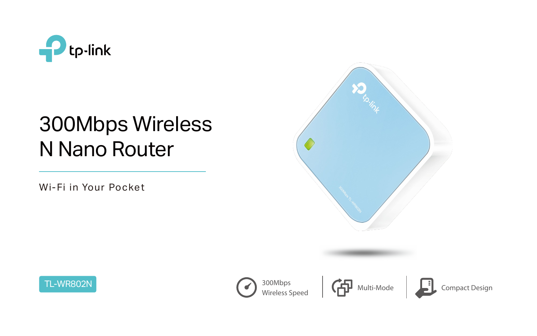Wi-Fi in Your Pocket





# 300Mbps Wireless N Nano Router





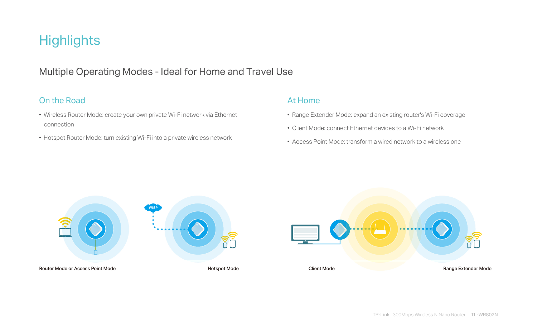## **Highlights**

## Multiple Operating Modes - Ideal for Home and Travel Use

### On the Road • Wireless Router Mode: create your own private Wi-Fi network via Ethernet connection • Hotspot Router Mode: turn existing Wi-Fi into a private wireless network At Home

• Range Extender Mode: expand an existing router's Wi-Fi coverage • Client Mode: connect Ethernet devices to a Wi-Fi network

• Access Point Mode: transform a wired network to a wireless one



### Client Mode **Client Mode Range Extender Mode**



Router Mode or Access Point Mode **No. 2018** Notice and Access Point Mode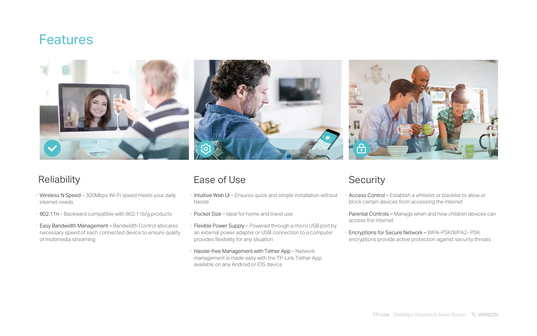## **Features**



## Reliability

- · Intuitive Web UI Ensures quick and simple installation without hassle · Access Control – Establish a whitelist or blacklist to allow or block certain devices from accessing the internet
- · Pocket Size Ideal for home and travel use
- · Flexible Power Supply Powered through a micro USB port by an external power adapter or USB connection to a computer provides flexibility for any situation Encryptions for Secure Network - WPA-PSK/WPA2- PSK encryptions provide active protection against security threats
- · Hassle-free Management with Tether App Network management is made easy with the TP-Link Tether App, available on any Android or iOS device

· Parental Controls – Manage when and how children devices can access the internet

- · Wireless N Speed 300Mbps Wi-Fi speed meets your daily internet needs
- · 802.11n Backward compatible with 802.11b/g products
- · Easy Bandwidth Management Bandwidth Control allocates necessary speed of each connected device to ensure quality of multimedia streaming

## Ease of Use Security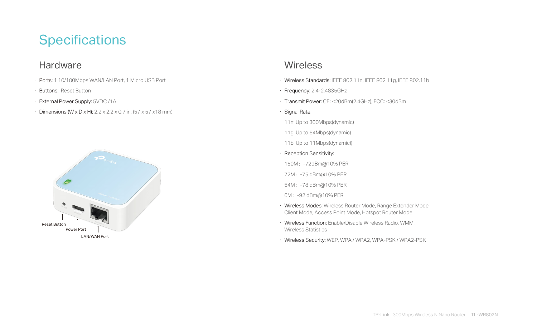## **Specifications**

## **Hardware**

- · Ports: 1 10/100Mbps WAN/LAN Port, 1 Micro USB Port
- · Buttons: Reset Button
- · External Power Supply: 5VDC /1A
- $\cdot$  Dimensions (W x D x H): 2.2 x 2.2 x 0.7 in. (57 x 57 x 18 mm)

· Wireless Standards: IEEE 802.11n, IEEE 802.11g, IEEE 802.11b

· Transmit Power: CE: <20dBm(2.4GHz), FCC: <30dBm

- 
- · Frequency: 2.4-2.4835GHz
- 
- · Signal Rate:
- 11n: Up to 300Mbps(dynamic)
- 11g: Up to 54Mbps(dynamic)
- 11b: Up to 11Mbps(dynamic))
- · Reception Sensitivity:
- 150M:-72dBm@10% PER
- 72M:-75 dBm@10% PER
- 54M:-78 dBm@10% PER
- 6M:-92 dBm@10% PER
- 
- Wireless Statistics
- 

· Wireless Modes: Wireless Router Mode, Range Extender Mode, Client Mode, Access Point Mode, Hotspot Router Mode

· Wireless Function: Enable/Disable Wireless Radio, WMM,

· Wireless Security: WEP, WPA / WPA2, WPA-PSK / WPA2-PSK



### **Wireless**